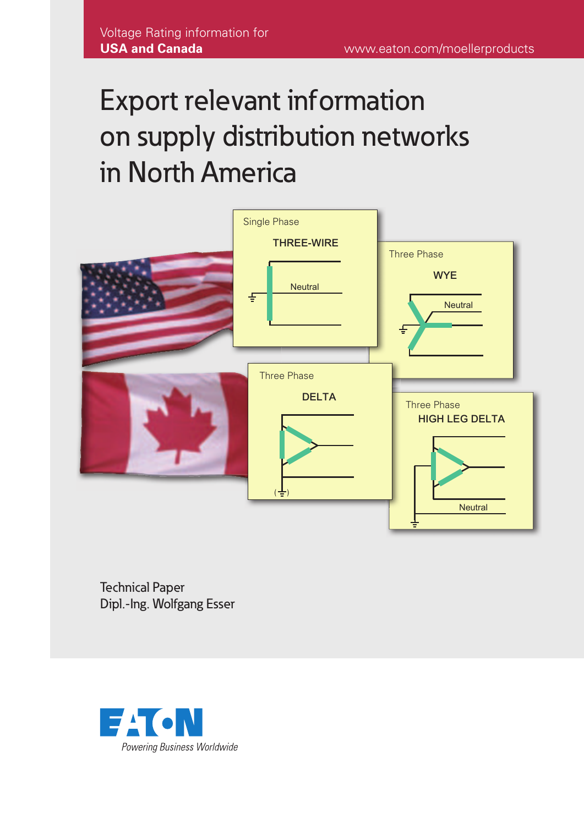# Export relevant information on supply distribution networks in North America



Technical Paper Dipl.-Ing. Wolfgang Esser

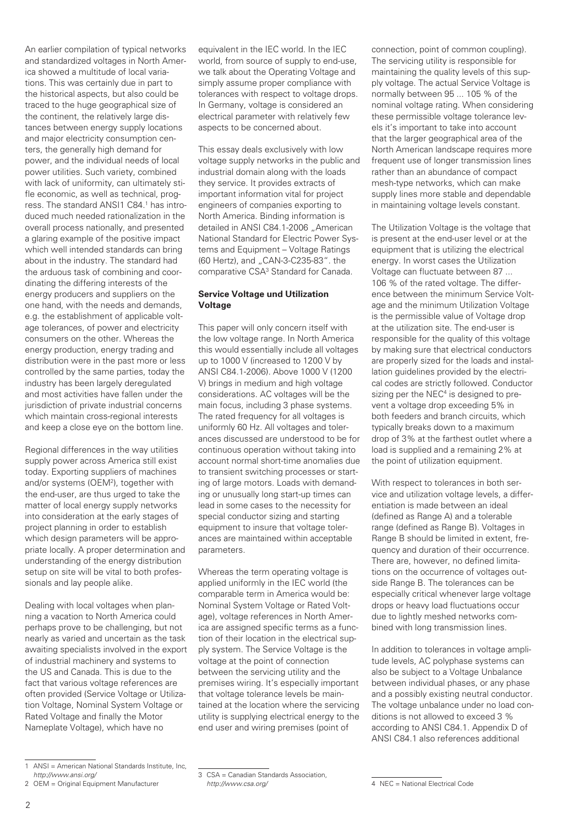An earlier compilation of typical networks and standardized voltages in North America showed a multitude of local variations. This was certainly due in part to the historical aspects, but also could be traced to the huge geographical size of the continent, the relatively large distances between energy supply locations and major electricity consumption centers, the generally high demand for power, and the individual needs of local power utilities. Such variety, combined with lack of uniformity, can ultimately stifle economic, as well as technical, progress. The standard ANSI1 C84.<sup>1</sup> has introduced much needed rationalization in the overall process nationally, and presented a glaring example of the positive impact which well intended standards can bring about in the industry. The standard had the arduous task of combining and coordinating the differing interests of the energy producers and suppliers on the one hand, with the needs and demands, e.g. the establishment of applicable voltage tolerances, of power and electricity consumers on the other. Whereas the energy production, energy trading and distribution were in the past more or less controlled by the same parties, today the industry has been largely deregulated and most activities have fallen under the jurisdiction of private industrial concerns which maintain cross-regional interests and keep a close eye on the bottom line.

Regional differences in the way utilities supply power across America still exist today. Exporting suppliers of machines and/or systems (OEM2), together with the end-user, are thus urged to take the matter of local energy supply networks into consideration at the early stages of project planning in order to establish which design parameters will be appropriate locally. A proper determination and understanding of the energy distribution setup on site will be vital to both professionals and lay people alike.

Dealing with local voltages when planning a vacation to North America could perhaps prove to be challenging, but not nearly as varied and uncertain as the task awaiting specialists involved in the export of industrial machinery and systems to the US and Canada. This is due to the fact that various voltage references are often provided (Service Voltage or Utilization Voltage, Nominal System Voltage or Rated Voltage and finally the Motor Nameplate Voltage), which have no

equivalent in the IEC world. In the IEC world, from source of supply to end-use, we talk about the Operating Voltage and simply assume proper compliance with tolerances with respect to voltage drops. In Germany, voltage is considered an electrical parameter with relatively few aspects to be concerned about.

This essay deals exclusively with low voltage supply networks in the public and industrial domain along with the loads they service. It provides extracts of important information vital for project engineers of companies exporting to North America. Binding information is detailed in ANSI C84.1-2006 "American National Standard for Electric Power Systems and Equipment – Voltage Ratings (60 Hertz), and "CAN-3-C235-83". the comparative CSA3 Standard for Canada.

# **Service Voltage und Utilization Voltage**

This paper will only concern itself with the low voltage range. In North America this would essentially include all voltages up to 1000 V (increased to 1200 V by ANSI C84.1-2006). Above 1000 V (1200 V) brings in medium and high voltage considerations. AC voltages will be the main focus, including 3 phase systems. The rated frequency for all voltages is uniformly 60 Hz. All voltages and tolerances discussed are understood to be for continuous operation without taking into account normal short-time anomalies due to transient switching processes or starting of large motors. Loads with demanding or unusually long start-up times can lead in some cases to the necessity for special conductor sizing and starting equipment to insure that voltage tolerances are maintained within acceptable parameters.

Whereas the term operating voltage is applied uniformly in the IEC world (the comparable term in America would be: Nominal System Voltage or Rated Voltage), voltage references in North America are assigned specific terms as a function of their location in the electrical supply system. The Service Voltage is the voltage at the point of connection between the servicing utility and the premises wiring. It's especially important that voltage tolerance levels be maintained at the location where the servicing utility is supplying electrical energy to the end user and wiring premises (point of

connection, point of common coupling). The servicing utility is responsible for maintaining the quality levels of this supply voltage. The actual Service Voltage is normally between 95 ... 105 % of the nominal voltage rating. When considering these permissible voltage tolerance levels it's important to take into account that the larger geographical area of the North American landscape requires more frequent use of longer transmission lines rather than an abundance of compact mesh-type networks, which can make supply lines more stable and dependable in maintaining voltage levels constant.

The Utilization Voltage is the voltage that is present at the end-user level or at the equipment that is utilizing the electrical energy. In worst cases the Utilization Voltage can fluctuate between 87 ... 106 % of the rated voltage. The difference between the minimum Service Voltage and the minimum Utilization Voltage is the permissible value of Voltage drop at the utilization site. The end-user is responsible for the quality of this voltage by making sure that electrical conductors are properly sized for the loads and installation guidelines provided by the electrical codes are strictly followed. Conductor sizing per the NEC<sup>4</sup> is designed to prevent a voltage drop exceeding 5% in both feeders and branch circuits, which typically breaks down to a maximum drop of 3% at the farthest outlet where a load is supplied and a remaining 2% at the point of utilization equipment.

With respect to tolerances in both service and utilization voltage levels, a differentiation is made between an ideal (defined as Range A) and a tolerable range (defined as Range B). Voltages in Range B should be limited in extent, frequency and duration of their occurrence. There are, however, no defined limitations on the occurrence of voltages outside Range B. The tolerances can be especially critical whenever large voltage drops or heavy load fluctuations occur due to lightly meshed networks combined with long transmission lines.

In addition to tolerances in voltage amplitude levels, AC polyphase systems can also be subject to a Voltage Unbalance between individual phases, or any phase and a possibly existing neutral conductor. The voltage unbalance under no load conditions is not allowed to exceed 3 % according to ANSI C84.1. Appendix D of ANSI C84.1 also references additional

<sup>1</sup> ANSI = American National Standards Institute, Inc, *http://www.ansi.org/*

<sup>2</sup> OEM = Original Equipment Manufacturer

<sup>3</sup> CSA = Canadian Standards Association, *http://www.csa.org/*

<sup>4</sup> NEC = National Electrical Code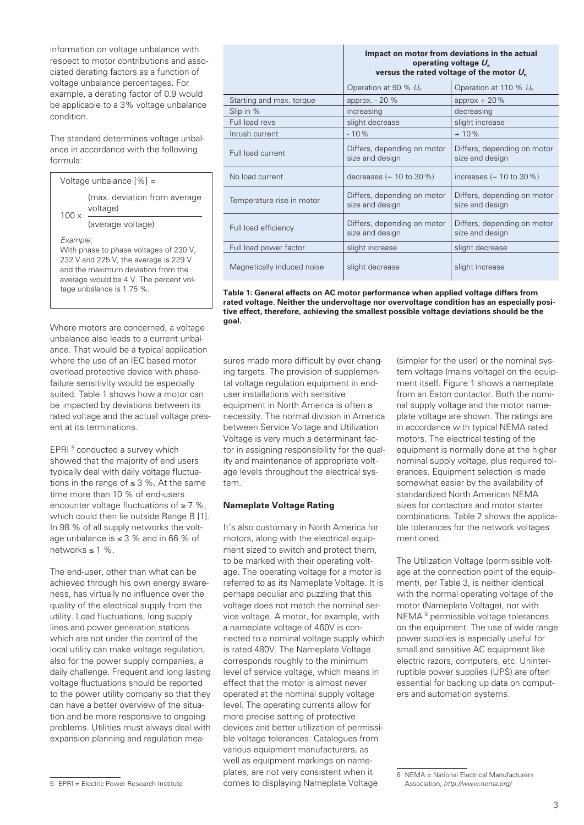information on voltage unbalance with respect to motor contributions and associated derating factors as a function of voltage unbalance percentages. For example, a derating factor of 0.9 would be applicable to a 3% voltage unbalance condition.

The standard determines voltage unbalance in accordance with the following formula:



Where motors are concerned, a voltage unbalance also leads to a current unbalance. That would be a typical application where the use of an IEC based motor overload protective device with phasefailure sensitivity would be especially suited. Table 1 shows how a motor can be impacted by deviations between its rated voltage and the actual voltage present at its terminations.

EPRI<sup>5</sup> conducted a survey which showed that the majority of end users typically deal with daily voltage fluctuations in the range of ≤ 3 %. At the same time more than 10 % of end-users encounter voltage fluctuations of ≥ 7 %, which could then lie outside Range B [1]. In 98 % of all age unbalanc networks  $\leq 1$ 

The end-use achieved through his own energy awareness, has virtually no influence over the quality of the electrical supply from the utility. Load fluctuations, long supply lines and power generation stations which are not under the control of the local utility can make voltage regulation, also for the power supply companies, a daily challenge. Frequent and long lasting voltage fluctuations should be reported to the power utility company so that they can have a better overview of the situation and be more responsive to ongoing problems. Utilities must always deal with expansion planning and regulation mea-

| I supply networks the volt-            | It's also customary in North America for  |
|----------------------------------------|-------------------------------------------|
| $ce$ is $\leq$ 3 % and in 66 % of $\,$ | motors, along with the electrical equip-  |
| $\frac{9}{6}$ .                        | ment sized to switch and protect them.    |
|                                        | to be marked with their operating volt-   |
| r, other than what can be              | age. The operating voltage for a motor is |
|                                        |                                           |

tem.

ng voltmotor is referred to as its Nameplate Voltage. It is perhaps peculiar and puzzling that this voltage does not match the nominal service voltage. A motor, for example, with a nameplate voltage of 460V is connected to a nominal voltage supply which is rated 480V. The Nameplate Voltage corresponds roughly to the minimum level of service voltage, which means in effect that the motor is almost never operated at the nominal supply voltage level. The operating currents allow for more precise setting of protective devices and better utilization of permissible voltage tolerances. Catalogues from various equipment manufacturers, as well as equipment markings on nameplates, are not very consistent when it comes to displaying Nameplate Voltage

sures made more difficult by ever changing targets. The provision of supplemental voltage regulation equipment in end-

user installations with sensitive equipment in North America is often a necessity. The normal division in America between Service Voltage and Utilization Voltage is very much a determinant factor in assigning responsibility for the quality and maintenance of appropriate voltage levels throughout the electrical sys-

**Nameplate Voltage Rating**

| Impact on motor from deviations in the actual |
|-----------------------------------------------|
| operating voltage $U_{\rm s}$                 |
| versus the rated voltage of the motor $U_{n}$ |

|                            | Operation at 90 % U <sub>n</sub>               | Operation at 110 % $U_n$                       |
|----------------------------|------------------------------------------------|------------------------------------------------|
| Starting and max. torque   | approx. $-20\%$                                | approx $+20\%$                                 |
| Slip in %                  | increasing                                     | decreasing                                     |
| Full load revs             | slight decrease                                | slight increase                                |
| Inrush current             | $-10%$                                         | $+10%$                                         |
| Full load current          | Differs, depending on motor<br>size and design | Differs, depending on motor<br>size and design |
| No load current            | decreases ( $\sim$ 10 to 30 %)                 | increases ( $\sim$ 10 to 30 %)                 |
| Temperature rise in motor  | Differs, depending on motor<br>size and design | Differs, depending on motor<br>size and design |
| Full load efficiency       | Differs, depending on motor<br>size and design | Differs, depending on motor<br>size and design |
| Full load power factor     | slight increase                                | slight decrease                                |
| Magnetically induced noise | slight decrease                                | slight increase                                |

**Table 1: General effects on AC motor performance when applied voltage differs from rated voltage. Neither the undervoltage nor overvoltage condition has an especially positive effect, therefore, achieving the smallest possible voltage deviations should be the goal.**

(simpler for the user) or the nominal system voltage (mains voltage) on the equipment itself. Figure 1 shows a nameplate from an Eaton contactor. Both the nominal supply voltage and the motor nameplate voltage are shown. The ratings are in accordance with typical NEMA rated motors. The electrical testing of the equipment is normally done at the higher nominal supply voltage, plus required tolerances. Equipment selection is made somewhat easier by the availability of standardized North American NEMA sizes for contactors and motor starter combinations. Table 2 shows the applicable tolerances for the network voltages mentioned.

The Utilization Voltage (permissible voltage at the connection point of the equipment), per Table 3, is neither identical with the normal operating voltage of the motor (Nameplate Voltage), nor with NEMA 6 permissible voltage tolerances on the equipment. The use of wide range power supplies is especially useful for small and sensitive AC equipment like electric razors, computers, etc. Uninterruptible power supplies (UPS) are often essential for backing up data on computers and automation systems.

<sup>6</sup> NEMA = National Electrical Manufacturers Association, *http://www.nema.org/*

<sup>5</sup> EPRI = Electric Power Research Institute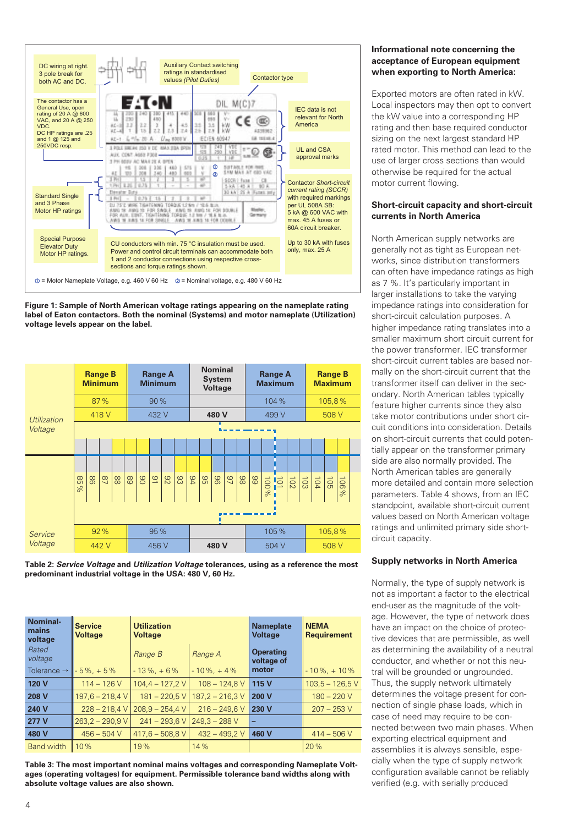

**Figure 1: Sample of North American voltage ratings appearing on the nameplate rating label of Eaton contactors. Both the nominal (Systems) and motor nameplate (Utilization) voltage levels appear on the label.**

|             |            | <b>Range B</b><br><b>Minimum</b> |        |      | <b>Range A</b><br><b>Minimum</b> |       |                |    |    |               | <b>Nominal</b><br><b>System</b><br><b>Voltage</b> |    |                 |       |       | <b>Range A</b><br><b>Maximum</b> |  |        |                           |       | <b>Range B</b><br><b>Maximum</b> |                     |  |
|-------------|------------|----------------------------------|--------|------|----------------------------------|-------|----------------|----|----|---------------|---------------------------------------------------|----|-----------------|-------|-------|----------------------------------|--|--------|---------------------------|-------|----------------------------------|---------------------|--|
|             |            |                                  | 87%    | 90 % |                                  |       |                |    |    |               |                                                   |    |                 | 104 % |       |                                  |  | 105,8% |                           |       |                                  |                     |  |
| Utilization | 418 V      |                                  |        |      |                                  | 432 V |                |    |    |               | 480 V                                             |    |                 |       | 499 V |                                  |  |        | 508 V                     |       |                                  |                     |  |
| Voltage     |            |                                  |        |      |                                  |       |                |    |    |               |                                                   |    |                 |       |       |                                  |  |        |                           |       |                                  |                     |  |
|             |            |                                  |        |      |                                  |       |                |    |    |               |                                                   |    |                 |       |       |                                  |  |        |                           |       |                                  |                     |  |
|             |            |                                  |        |      |                                  |       |                |    |    |               |                                                   |    |                 |       |       |                                  |  |        |                           |       |                                  |                     |  |
|             | 85<br>$\%$ | 98                               | $^{8}$ | 88   | 89                               | 80    | $\overline{5}$ | 82 | 83 | $\frac{9}{4}$ | 96                                                | 96 | $\overline{97}$ | 86    | 89    | $\frac{101}{100}$<br>$\%$        |  |        | $rac{5}{2}$ $\frac{5}{2}$ |       | 90L                              | $\overline{5}$<br>% |  |
|             |            |                                  |        |      |                                  |       |                |    |    |               |                                                   |    |                 |       |       |                                  |  |        |                           |       |                                  |                     |  |
| Service     |            |                                  | 92%    |      |                                  | 95 %  |                |    |    |               |                                                   |    |                 |       |       | 105%                             |  |        |                           |       | 105,8%                           |                     |  |
| Voltage     |            |                                  | 442 V  |      |                                  | 456 V |                |    |    |               | 480 V                                             |    |                 |       | 504 V |                                  |  |        |                           | 508 V |                                  |                     |  |

**Table 2:** *Service Voltage* **and** *Utilization Voltage* **tolerances, using as a reference the most predominant industrial voltage in the USA: 480 V, 60 Hz.**

| Nominal-<br>mains<br>voltage | <b>Service</b><br><b>Voltage</b> | <b>Utilization</b><br><b>Voltage</b> |                   | <b>Nameplate</b><br><b>Voltage</b> | <b>NEMA</b><br><b>Requirement</b> |  |  |
|------------------------------|----------------------------------|--------------------------------------|-------------------|------------------------------------|-----------------------------------|--|--|
| Rated<br>voltage             |                                  | Range B                              | Range A           | <b>Operating</b><br>voltage of     |                                   |  |  |
| Tolerance $\rightarrow$      | $-5\% + 5\%$                     | $-13\%$ , +6%                        | $-10\%$ , +4%     | motor                              | $-10\%$ , $+10\%$                 |  |  |
| 120 V                        | $114 - 126V$                     | $104.4 - 127.2$ V                    | $108 - 124.8$ V   | 115 V                              | $103.5 - 126.5$ V                 |  |  |
| 208 V                        | $197.6 - 218.4$ V                | $181 - 220.5$ V                      | $187.2 - 216.3$ V | 200 V                              | $180 - 220$ V                     |  |  |
| 240 V                        | $228 - 218.4$ V                  | $208.9 - 254.4$ V                    | $216 - 249.6$ V   | 230 V                              | $207 - 253$ V                     |  |  |
| 277 V                        | $263,2 - 290,9$ V                | $241 - 293.6$ V                      | $249.3 - 288$ V   | -                                  |                                   |  |  |
| 480 V                        | $456 - 504$ V                    | $417,6 - 508,8$ V                    | $432 - 499.2$ V   | 460 V                              | $414 - 506$ V                     |  |  |
| <b>Band width</b>            | 10%                              | 19%                                  | 14%               |                                    | 20%                               |  |  |

**Table 3: The most important nominal mains voltages and corresponding Nameplate Voltages (operating voltages) for equipment. Permissible tolerance band widths along with absolute voltage values are also shown.**

### **Informational note concerning the acceptance of European equipment when exporting to North America:**

Exported motors are often rated in kW. Local inspectors may then opt to convert the kW value into a corresponding HP rating and then base required conductor sizing on the next largest standard HP rated motor. This method can lead to the use of larger cross sections than would otherwise be required for the actual motor current flowing.

# **Short-circuit capacity and short-circuit currents in North America**

North American supply networks are generally not as tight as European networks, since distribution transformers can often have impedance ratings as high as 7 %. It's particularly important in larger installations to take the varying impedance ratings into consideration for short-circuit calculation purposes. A higher impedance rating translates into a smaller maximum short circuit current for the power transformer. IEC transformer short-circuit current tables are based normally on the short-circuit current that the transformer itself can deliver in the secondary. North American tables typically feature higher currents since they also take motor contributions under short circuit conditions into consideration. Details on short-circuit currents that could potentially appear on the transformer primary side are also normally provided. The North American tables are generally more detailed and contain more selection parameters. Table 4 shows, from an IEC standpoint, available short-circuit current values based on North American voltage ratings and unlimited primary side shortcircuit capacity.

# **Supply networks in North America**

Normally, the type of supply network is not as important a factor to the electrical end-user as the magnitude of the voltage. However, the type of network does have an impact on the choice of protective devices that are permissible, as well as determining the availability of a neutral conductor, and whether or not this neutral will be grounded or ungrounded. Thus, the supply network ultimately determines the voltage present for connection of single phase loads, which in case of need may require to be connected between two main phases. When exporting electrical equipment and assemblies it is always sensible, especially when the type of supply network configuration available cannot be reliably verified (e.g. with serially produced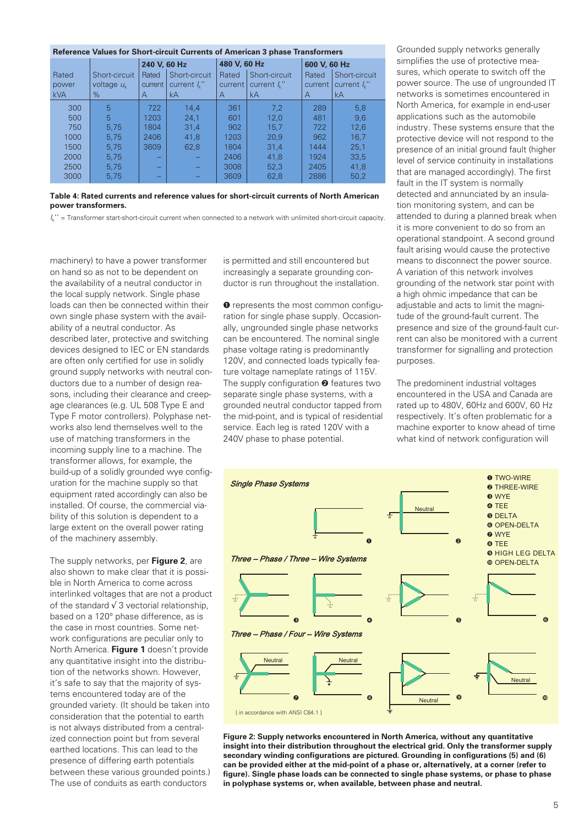| Reference Values for Short-circuit Currents of American 3 phase Transformers |                                |                  |                                                       |                  |                                          |                  |                                          |  |  |  |  |  |
|------------------------------------------------------------------------------|--------------------------------|------------------|-------------------------------------------------------|------------------|------------------------------------------|------------------|------------------------------------------|--|--|--|--|--|
|                                                                              |                                | 240 V, 60 Hz     |                                                       | 480 V, 60 Hz     |                                          | 600 V, 60 Hz     |                                          |  |  |  |  |  |
| Rated<br>power                                                               | Short-circuit<br>voltage $u_k$ | Rated<br>current | Short-circuit<br>current $\mathcal{L}^{\prime\prime}$ | Rated<br>current | Short-circuit<br>current $\frac{1}{2}$ " | Rated<br>current | Short-circuit<br>current $\mathcal{L}$ " |  |  |  |  |  |
| <b>kVA</b>                                                                   | $\%$                           | A                | kA                                                    | A                | kA                                       | A                | kA                                       |  |  |  |  |  |
| 300                                                                          | 5                              | 722              | 14.4                                                  | 361              | 7.2                                      | 289              | 5,8                                      |  |  |  |  |  |
| 500                                                                          | 5                              | 1203             | 24.1                                                  | 601              | 12.0                                     | 481              | 9.6                                      |  |  |  |  |  |
| 750                                                                          | 5.75                           | 1804             | 31.4                                                  | 902              | 15.7                                     | 722              | 12.6                                     |  |  |  |  |  |
| 1000                                                                         | 5.75                           | 2406             | 41.8                                                  | 1203             | 20.9                                     | 962              | 16.7                                     |  |  |  |  |  |
| 1500                                                                         | 5.75                           | 3609             | 62,8                                                  | 1804             | 31.4                                     | 1444             | 25,1                                     |  |  |  |  |  |
| 2000                                                                         | 5.75                           | -                |                                                       | 2406             | 41.8                                     | 1924             | 33.5                                     |  |  |  |  |  |
| 2500                                                                         | 5.75                           | -                |                                                       | 3008             | 52.3                                     | 2405             | 41.8                                     |  |  |  |  |  |
| 3000                                                                         | 5.75                           |                  |                                                       | 3609             | 62,8                                     | 2886             | 50,2                                     |  |  |  |  |  |

**Table 4: Rated currents and reference values for short-circuit currents of North American power transformers.**

*I*k'' = Transformer start-short-circuit current when connected to a network with unlimited short-circuit capacity.

machinery) to have a power transformer on hand so as not to be dependent on the availability of a neutral conductor in the local supply network. Single phase loads can then be connected within their own single phase system with the availability of a neutral conductor. As described later, protective and switching devices designed to IEC or EN standards are often only certified for use in solidly ground supply networks with neutral conductors due to a number of design reasons, including their clearance and creepage clearances (e.g. UL 508 Type E and Type F motor controllers). Polyphase networks also lend themselves well to the use of matching transformers in the incoming supply line to a machine. The transformer allows, for example, the build-up of a solidly grounded wye configuration for the machine supply so that equipment rated accordingly can also be installed. Of course, the commercial viability of this solution is dependent to a large extent on the overall power rating of the machinery assembly.

The supply networks, per **Figure 2**, are also shown to make clear that it is possible in North America to come across interlinked voltages that are not a product of the standard √ 3 vectorial relationship, based on a 120° phase difference, as is the case in most countries. Some network configurations are peculiar only to North America. **Figure 1** doesn't provide any quantitative insight into the distribution of the networks shown. However, it's safe to say that the majority of systems encountered today are of the grounded variety. (It should be taken into consideration that the potential to earth is not always distributed from a centralized connection point but from several earthed locations. This can lead to the presence of differing earth potentials between these various grounded points.) The use of conduits as earth conductors

is permitted and still encountered but increasingly a separate grounding conductor is run throughout the installation.

➊ represents the most common configuration for single phase supply. Occasionally, ungrounded single phase networks can be encountered. The nominal single phase voltage rating is predominantly 120V, and connected loads typically feature voltage nameplate ratings of 115V. The supply configuration <sup>o</sup> features two separate single phase systems, with a grounded neutral conductor tapped from the mid-point, and is typical of residential service. Each leg is rated 120V with a 240V phase to phase potential.

Grounded supply networks generally simplifies the use of protective measures, which operate to switch off the power source. The use of ungrounded IT networks is sometimes encountered in North America, for example in end-user applications such as the automobile industry. These systems ensure that the protective device will not respond to the presence of an initial ground fault (higher level of service continuity in installations that are managed accordingly). The first fault in the IT system is normally detected and annunciated by an insulation monitoring system, and can be attended to during a planned break when it is more convenient to do so from an operational standpoint. A second ground fault arising would cause the protective means to disconnect the power source. A variation of this network involves grounding of the network star point with a high ohmic impedance that can be adjustable and acts to limit the magnitude of the ground-fault current. The presence and size of the ground-fault current can also be monitored with a current transformer for signalling and protection purposes.

The predominent industrial voltages encountered in the USA and Canada are rated up to 480V, 60Hz and 600V, 60 Hz respectively. It's often problematic for a machine exporter to know ahead of time what kind of network configuration will



**Figure 2: Supply networks encountered in North America, without any quantitative insight into their distribution throughout the electrical grid. Only the transformer supply secondary winding configurations are pictured. Grounding in configurations (5) and (6) can be provided either at the mid-point of a phase or, alternatively, at a corner (refer to figure). Single phase loads can be connected to single phase systems, or phase to phase in polyphase systems or, when available, between phase and neutral.**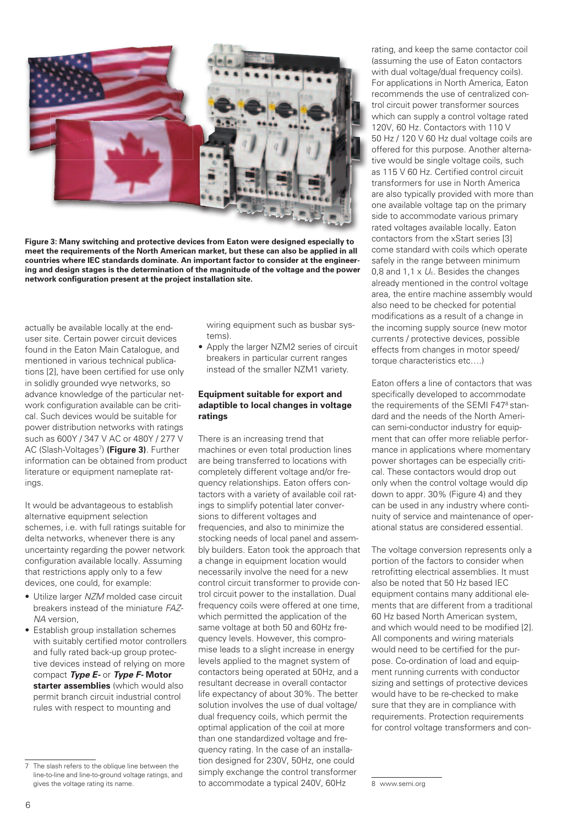

**Figure 3: Many switching and protective devices from Eaton were designed especially to meet the requirements of the North American market, but these can also be applied in all countries where IEC standards dominate. An important factor to consider at the engineering and design stages is the determination of the magnitude of the voltage and the power network configuration present at the project installation site.** 

actually be available locally at the enduser site. Certain power circuit devices found in the Eaton Main Catalogue, and mentioned in various technical publications [2], have been certified for use only in solidly grounded wye networks, so advance knowledge of the particular network configuration available can be critical. Such devices would be suitable for power distribution networks with ratings such as 600Y / 347 V AC or 480Y / 277 V AC (Slash-Voltages<sup>7</sup>) (Figure 3). Further information can be obtained from product literature or equipment nameplate ratings.

It would be advantageous to establish alternative equipment selection schemes, i.e. with full ratings suitable for delta networks, whenever there is any uncertainty regarding the power network configuration available locally. Assuming that restrictions apply only to a few devices, one could, for example:

- Utilize larger *NZM* molded case circuit breakers instead of the miniature *FAZ-NA* version,
- Establish group installation schemes with suitably certified motor controllers and fully rated back-up group protective devices instead of relying on more compact *Type E-* or *Type F-* **Motor starter assemblies** (which would also permit branch circuit industrial control rules with respect to mounting and

wiring equipment such as busbar systems).

• Apply the larger NZM2 series of circuit breakers in particular current ranges instead of the smaller NZM1 variety.

## **Equipment suitable for export and adaptible to local changes in voltage ratings**

There is an increasing trend that machines or even total production lines are being transferred to locations with completely different voltage and/or frequency relationships. Eaton offers contactors with a variety of available coil ratings to simplify potential later conversions to different voltages and frequencies, and also to minimize the stocking needs of local panel and assembly builders. Eaton took the approach that a change in equipment location would necessarily involve the need for a new control circuit transformer to provide control circuit power to the installation. Dual frequency coils were offered at one time, which permitted the application of the same voltage at both 50 and 60Hz frequency levels. However, this compromise leads to a slight increase in energy levels applied to the magnet system of contactors being operated at 50Hz, and a resultant decrease in overall contactor life expectancy of about 30%. The better solution involves the use of dual voltage/ dual frequency coils, which permit the optimal application of the coil at more than one standardized voltage and frequency rating. In the case of an installation designed for 230V, 50Hz, one could simply exchange the control transformer to accommodate a typical 240V, 60Hz

rating, and keep the same contactor coil (assuming the use of Eaton contactors with dual voltage/dual frequency coils). For applications in North America, Eaton recommends the use of centralized control circuit power transformer sources which can supply a control voltage rated 120V, 60 Hz. Contactors with 110 V 50 Hz / 120 V 60 Hz dual voltage coils are offered for this purpose. Another alternative would be single voltage coils, such as 115 V 60 Hz. Certified control circuit transformers for use in North America are also typically provided with more than one available voltage tap on the primary side to accommodate various primary rated voltages available locally. Eaton contactors from the xStart series [3] come standard with coils which operate safely in the range between minimum 0,8 and 1,1 x *U*c. Besides the changes already mentioned in the control voltage area, the entire machine assembly would also need to be checked for potential modifications as a result of a change in the incoming supply source (new motor currents / protective devices, possible effects from changes in motor speed/ torque characteristics etc….)

Eaton offers a line of contactors that was specifically developed to accommodate the requirements of the SEMI F47<sup>8</sup> standard and the needs of the North American semi-conductor industry for equipment that can offer more reliable performance in applications where momentary power shortages can be especially critical. These contactors would drop out only when the control voltage would dip down to appr. 30% (Figure 4) and they can be used in any industry where continuity of service and maintenance of operational status are considered essential.

The voltage conversion represents only a portion of the factors to consider when retrofitting electrical assemblies. It must also be noted that 50 Hz based IEC equipment contains many additional elements that are different from a traditional 60 Hz based North American system, and which would need to be modified [2]. All components and wiring materials would need to be certified for the purpose. Co-ordination of load and equipment running currents with conductor sizing and settings of protective devices would have to be re-checked to make sure that they are in compliance with requirements. Protection requirements for control voltage transformers and con-

The slash refers to the oblique line between the line-to-line and line-to-ground voltage ratings, and gives the voltage rating its name.

<sup>8</sup> www.semi.org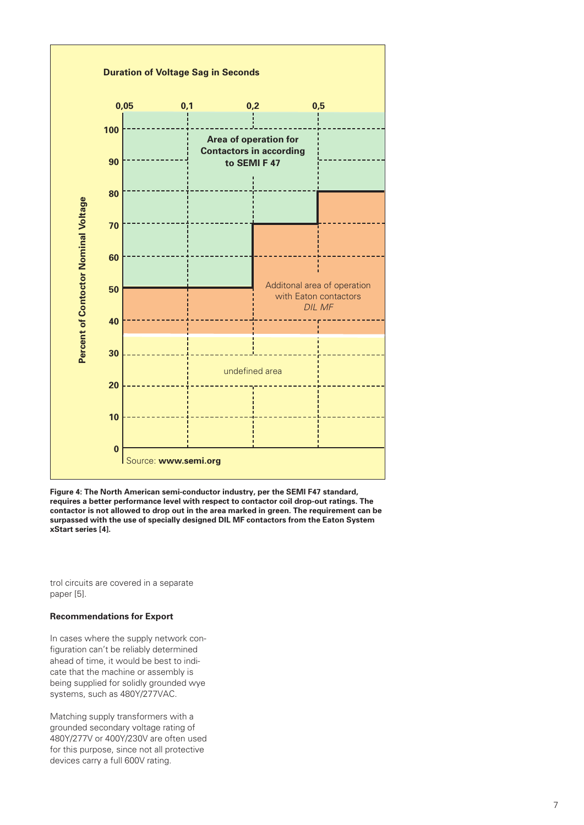

**Figure 4: The North American semi-conductor industry, per the SEMI F47 standard, requires a better performance level with respect to contactor coil drop-out ratings. The contactor is not allowed to drop out in the area marked in green. The requirement can be surpassed with the use of specially designed DIL MF contactors from the Eaton System** 

trol circuits are covered in a separate paper [5].

## **Recommendations for Export**

In cases where the supply network configuration can't be reliably determined ahead of time, it would be best to indicate that the machine or assembly is being supplied for solidly grounded wye systems, such as 480Y/277VAC.

Matching supply transformers with a grounded secondary voltage rating of 480Y/277V or 400Y/230V are often used for this purpose, since not all protective devices carry a full 600V rating.